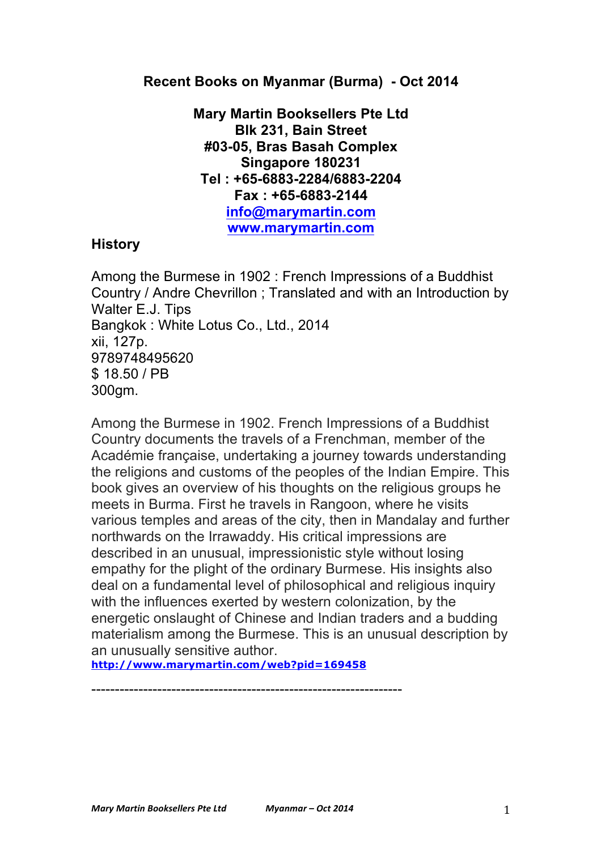## **Recent Books on Myanmar (Burma) - Oct 2014**

**Mary Martin Booksellers Pte Ltd Blk 231, Bain Street #03-05, Bras Basah Complex Singapore 180231 Tel : +65-6883-2284/6883-2204 Fax : +65-6883-2144 info@marymartin.com www.marymartin.com**

## **History**

Among the Burmese in 1902 : French Impressions of a Buddhist Country / Andre Chevrillon ; Translated and with an Introduction by Walter E.J. Tips Bangkok : White Lotus Co., Ltd., 2014 xii, 127p. 9789748495620 \$ 18.50 / PB 300gm.

Among the Burmese in 1902. French Impressions of a Buddhist Country documents the travels of a Frenchman, member of the Académie française, undertaking a journey towards understanding the religions and customs of the peoples of the Indian Empire. This book gives an overview of his thoughts on the religious groups he meets in Burma. First he travels in Rangoon, where he visits various temples and areas of the city, then in Mandalay and further northwards on the Irrawaddy. His critical impressions are described in an unusual, impressionistic style without losing empathy for the plight of the ordinary Burmese. His insights also deal on a fundamental level of philosophical and religious inquiry with the influences exerted by western colonization, by the energetic onslaught of Chinese and Indian traders and a budding materialism among the Burmese. This is an unusual description by an unusually sensitive author.

**http://www.marymartin.com/web?pid=169458**